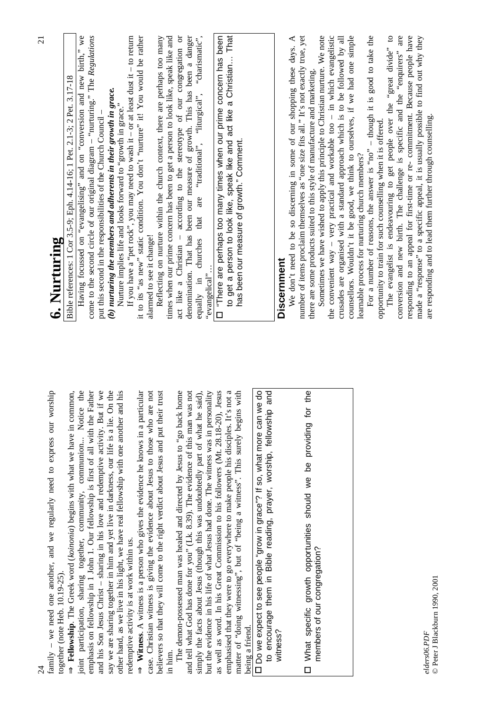|                                                                                                                                                                         | $\Xi$                                                                                                                                                             |
|-------------------------------------------------------------------------------------------------------------------------------------------------------------------------|-------------------------------------------------------------------------------------------------------------------------------------------------------------------|
| family - we need one another, and we regularly need to express our worship<br>together (note Heb. $10.19 - 25$ ).                                                       | 6. Nurturing                                                                                                                                                      |
| Fellowship. The Greek word (koinonia) begins with what we have in common,                                                                                               | Bible references: 1 Cor 3.5-9; Eph. 4.14-16; 1 Pet. 2.1-3; 2 Pet. 3.17-18                                                                                         |
| joint participation, sharing together, community, communion Notice the                                                                                                  | Having focussed on "evangelising" and on "conversion and new birth," we                                                                                           |
| emphasis on fellowship in 1 John 1. Our fellowship is first of all with the Father<br>and his Son Jesus Christ - sharing in his love and redemptive activity. But if we | come to the second circle of our original diagram – "nurturing." The $Regulations$<br>put this second in the responsibilities of the Church Council -             |
| On the<br>say we are sharing together in him and yet live in darkness, our life is a lie.                                                                               | (b) nurturing the members and adherents in their growth in grace.                                                                                                 |
| and his<br>other hand, as we live in his light, we have real fellowship with one another                                                                                | Nurture implies life and looks forward to "growth in grace."                                                                                                      |
| redemptive activity is at work within us.                                                                                                                               | If you have a "pet rock", you may need to wash it – or at least dust it – to return                                                                               |
| <b>Witness.</b> A witness is a person who gives the evidence he knows in a particular                                                                                   | it to its "as new" static condition. You don't "nurture" it! You would be rather                                                                                  |
| are not<br>case. Christian witness is giving the evidence about Jesus to those who                                                                                      | alarmed to see it change!                                                                                                                                         |
| believers so that they will come to the right verdict about Jesus and put their trust<br>in him.                                                                        | Reflecting on nurture within the church context, there are perhaps too many<br>times when our prime concern has been to get a person to look like, speak like and |
| The demon-possessed man was healed and directed by Jesus to "go back home                                                                                               | act like a Christian - according to the stereotype of our congregation or                                                                                         |
| and tell what God has done for you" (Lk. 8.39). The evidence of this man was not                                                                                        | denomination. That has been our measure of growth. This has been a danger                                                                                         |
| simply the facts about Jesus (though this was undoubtedly part of what he said),                                                                                        | "charismatic",<br>that are "traditional", "liturgical",<br>churches<br>equally in                                                                                 |
| but the evidence in his life of what Jesus had done. The witness was in personality                                                                                     | "evangelical".                                                                                                                                                    |
| as well as word. In his Great Commission to his followers (Mt. 28.18-20), Jesus                                                                                         | L "There are perhaps too many times when our prime concern has been                                                                                               |
| s not a<br>emphasised that they were to go everywhere to make people his disciples. It'                                                                                 | to get a person to look like, speak like and act like a Christian That                                                                                            |
| ns with<br>matter of "doing witnessing", but of "being a witness". This surely begin<br>being a friend.                                                                 | has been our measure of growth." Comment.                                                                                                                         |
| Do we expect to see people "grow in grace"? If so, what more can we do                                                                                                  |                                                                                                                                                                   |
| to encourage them in Bible reading, prayer, worship, fellowship and                                                                                                     |                                                                                                                                                                   |
| witness?                                                                                                                                                                | <b>Discernment</b>                                                                                                                                                |
|                                                                                                                                                                         | We don't need to be so discerning in some of our shopping these days. A<br>number of items proclaim themselves as "one size fits all." It's not exactly true, yet |
| □ What specific growth opportunities should we be providing for the                                                                                                     | there are some products suited to this style of manufacture and marketing.                                                                                        |
| members of our congregation?                                                                                                                                            | Sometimes we have wished to apply this principle to Christian nurture. We note                                                                                    |
|                                                                                                                                                                         | the convenient way $-$ very practical and workable too $-$ in which evangelistic                                                                                  |
|                                                                                                                                                                         | crusades are organised with a standard approach which is to be followed by all<br>counsellors. Wouldn't it be good, we think to ourselves, if we had one simple   |
|                                                                                                                                                                         | learnable process for nurturing church members?                                                                                                                   |
|                                                                                                                                                                         | For a number of reasons, the answer is "no" $-$ though it is good to take the                                                                                     |
|                                                                                                                                                                         | opportunity to train for such counselling when it is offered.                                                                                                     |
|                                                                                                                                                                         | The evangelist is endeavouring to get people over the "great divide" to                                                                                           |
|                                                                                                                                                                         | conversion and new birth. The challenge is specific and the "enquirers" are                                                                                       |
|                                                                                                                                                                         | responding to an appeal for first-time or re- commitment. Because people have                                                                                     |
| elders06.PDF                                                                                                                                                            | made a "response" to a specific appeal, it is usually possible to find out why they                                                                               |
| 1000001<br>$\frac{1}{2}$                                                                                                                                                | are responding and to lead them further through counselling.                                                                                                      |

21